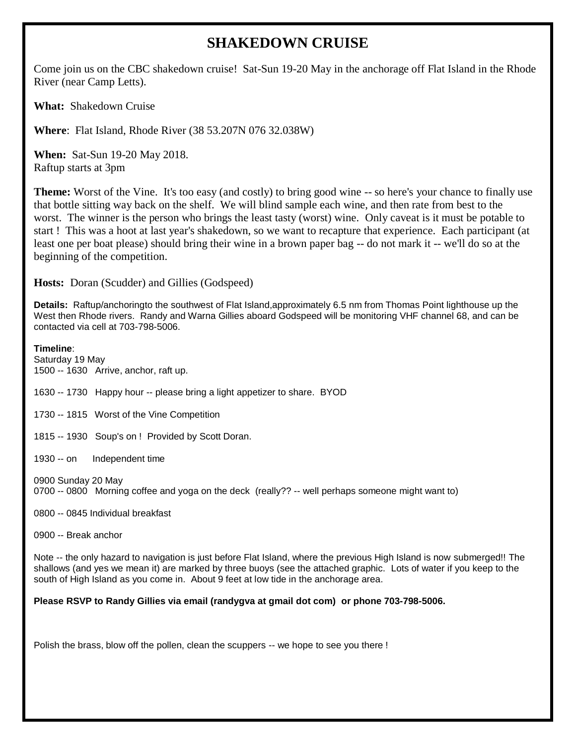## **SHAKEDOWN CRUISE**

Come join us on the CBC shakedown cruise! Sat-Sun 19-20 May in the anchorage off Flat Island in the Rhode River (near Camp Letts).

**What:** Shakedown Cruise

**Where**: Flat Island, Rhode River (38 53.207N 076 32.038W)

**When:** Sat-Sun 19-20 May 2018. Raftup starts at 3pm

**Theme:** Worst of the Vine. It's too easy (and costly) to bring good wine -- so here's your chance to finally use that bottle sitting way back on the shelf. We will blind sample each wine, and then rate from best to the worst. The winner is the person who brings the least tasty (worst) wine. Only caveat is it must be potable to start ! This was a hoot at last year's shakedown, so we want to recapture that experience. Each participant (at least one per boat please) should bring their wine in a brown paper bag -- do not mark it -- we'll do so at the beginning of the competition.

**Hosts:** Doran (Scudder) and Gillies (Godspeed)

**Details:** Raftup/anchoringto the southwest of Flat Island,approximately 6.5 nm from Thomas Point lighthouse up the West then Rhode rivers. Randy and Warna Gillies aboard Godspeed will be monitoring VHF channel 68, and can be contacted via cell at 703-798-5006.

**Timeline**: Saturday 19 May 1500 -- 1630 Arrive, anchor, raft up. 1630 -- 1730 Happy hour -- please bring a light appetizer to share. BYOD 1730 -- 1815 Worst of the Vine Competition 1815 -- 1930 Soup's on ! Provided by Scott Doran. 1930 -- on Independent time 0900 Sunday 20 May 0700 -- 0800 Morning coffee and yoga on the deck (really?? -- well perhaps someone might want to)

0800 -- 0845 Individual breakfast

0900 -- Break anchor

Note -- the only hazard to navigation is just before Flat Island, where the previous High Island is now submerged!! The shallows (and yes we mean it) are marked by three buoys (see the attached graphic. Lots of water if you keep to the south of High Island as you come in. About 9 feet at low tide in the anchorage area.

## **Please RSVP to Randy Gillies via email (randygva at gmail dot com) or phone 703-798-5006.**

Polish the brass, blow off the pollen, clean the scuppers -- we hope to see you there !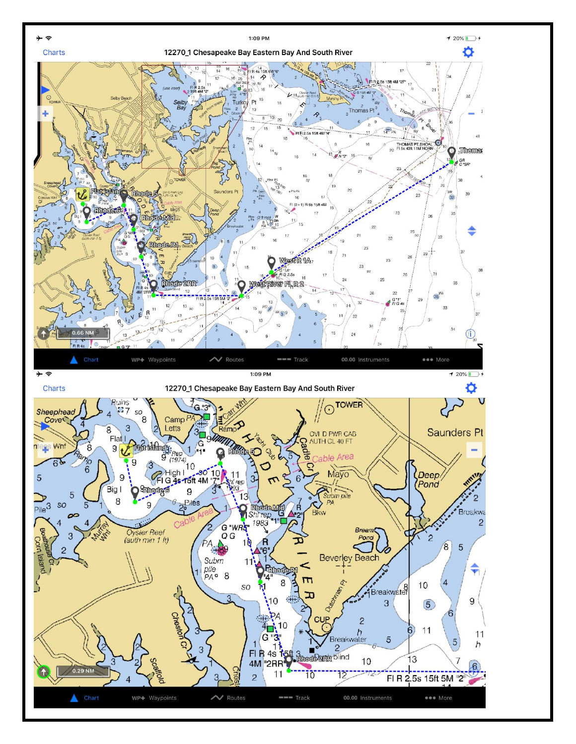